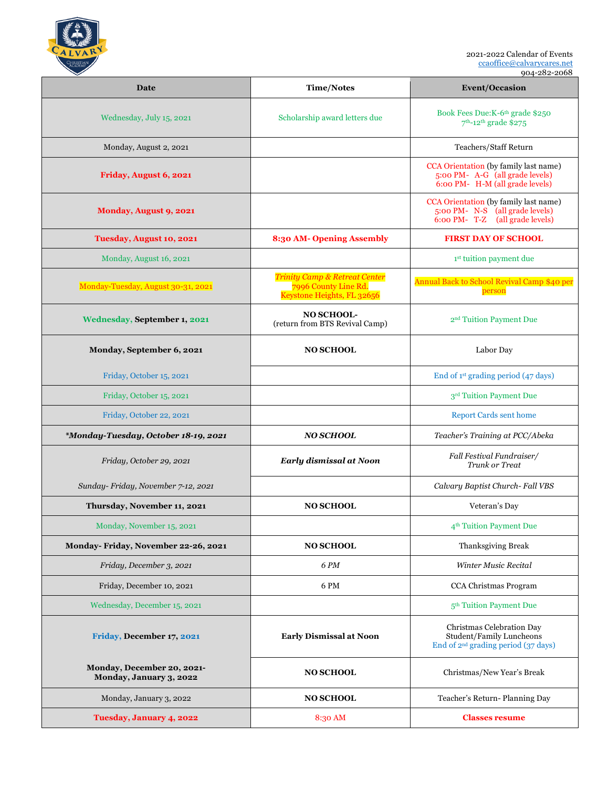

2021-2022 Calendar of Events ccaoffice@calvarycares.net

904-282-2068

| Date                                                  | <b>Time/Notes</b>                                                                              | <b>Event/Occasion</b>                                                                                          |
|-------------------------------------------------------|------------------------------------------------------------------------------------------------|----------------------------------------------------------------------------------------------------------------|
| Wednesday, July 15, 2021                              | Scholarship award letters due                                                                  | Book Fees Due: K-6 <sup>th</sup> grade \$250<br>7 <sup>th</sup> -12 <sup>th</sup> grade \$275                  |
| Monday, August 2, 2021                                |                                                                                                | Teachers/Staff Return                                                                                          |
| Friday, August 6, 2021                                |                                                                                                | CCA Orientation (by family last name)<br>5:00 PM- A-G (all grade levels)<br>6:00 PM- H-M (all grade levels)    |
| Monday, August 9, 2021                                |                                                                                                | CCA Orientation (by family last name)<br>5:00 PM- N-S (all grade levels)<br>6:00 PM- T-Z<br>(all grade levels) |
| Tuesday, August 10, 2021                              | 8:30 AM- Opening Assembly                                                                      | <b>FIRST DAY OF SCHOOL</b>                                                                                     |
| Monday, August 16, 2021                               |                                                                                                | <sup>1st</sup> tuition payment due                                                                             |
| Monday-Tuesday, August 30-31, 2021                    | <b>Trinity Camp &amp; Retreat Center</b><br>7996 County Line Rd.<br>Keystone Heights, FL 32656 | Annual Back to School Revival Camp \$40 per<br>person                                                          |
| Wednesday, September 1, 2021                          | NO SCHOOL-<br>(return from BTS Revival Camp)                                                   | 2 <sup>nd</sup> Tuition Payment Due                                                                            |
| Monday, September 6, 2021                             | <b>NO SCHOOL</b>                                                                               | Labor Day                                                                                                      |
| Friday, October 15, 2021                              |                                                                                                | End of 1 <sup>st</sup> grading period (47 days)                                                                |
| Friday, October 15, 2021                              |                                                                                                | 3rd Tuition Payment Due                                                                                        |
| Friday, October 22, 2021                              |                                                                                                | <b>Report Cards sent home</b>                                                                                  |
| *Monday-Tuesday, October 18-19, 2021                  | <b>NO SCHOOL</b>                                                                               | Teacher's Training at PCC/Abeka                                                                                |
| Friday, October 29, 2021                              | Early dismissal at Noon                                                                        | Fall Festival Fundraiser/<br>Trunk or Treat                                                                    |
| Sunday- Friday, November 7-12, 2021                   |                                                                                                | Calvary Baptist Church- Fall VBS                                                                               |
| Thursday, November 11, 2021                           | <b>NO SCHOOL</b>                                                                               | Veteran's Day                                                                                                  |
| Monday, November 15, 2021                             |                                                                                                | 4 <sup>th</sup> Tuition Payment Due                                                                            |
| Monday-Friday, November 22-26, 2021                   | <b>NO SCHOOL</b>                                                                               | Thanksgiving Break                                                                                             |
| Friday, December 3, 2021                              | 6 PM                                                                                           | Winter Music Recital                                                                                           |
| Friday, December 10, 2021                             | 6 PM                                                                                           | CCA Christmas Program                                                                                          |
| Wednesday, December 15, 2021                          |                                                                                                | 5 <sup>th</sup> Tuition Payment Due                                                                            |
| Friday, December 17, 2021                             | <b>Early Dismissal at Noon</b>                                                                 | Christmas Celebration Day<br>Student/Family Luncheons<br>End of $2^{nd}$ grading period (37 days)              |
| Monday, December 20, 2021-<br>Monday, January 3, 2022 | <b>NO SCHOOL</b>                                                                               | Christmas/New Year's Break                                                                                     |
| Monday, January 3, 2022                               | <b>NO SCHOOL</b>                                                                               | Teacher's Return-Planning Day                                                                                  |
| Tuesday, January 4, 2022                              | 8:30 AM                                                                                        | <b>Classes resume</b>                                                                                          |